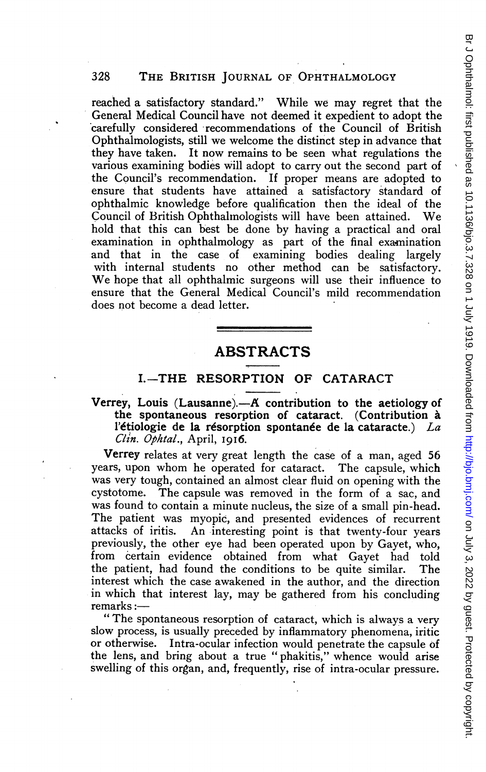reached a satisfactory standard." While we may regret that the General Medical Council have not deemed it expedient to adopt the carefully considered recommendations of the Council of British Ophthalmologists, still we welcome the distinct step in advance that they have taken. It now remains to be seen what regulations the various examining bodies will adopt to carry out the second part of the Council's recommendation. If proper means are adopted to ensure that students have attained a satisfactory standard of ophthalmic knowledge before qualification then the ideal of the Council of British Ophthalmnologists will have been attained. We hold that this can best be done by having a practical and oral examination in ophthalmology as part of the final examination and that in the case of examining bodies dealing largely with internal students no other method can be satisfactory. We hope that all ophthalmic surgeons will use their influence to ensure that the General Medical Council's mild recommendation does not become a dead letter.

# ABSTRACTS

## I.-THE RESORPTION OF CATARACT

#### Verrey, Louis (Lausanne). $-A$  contribution to the aetiology of the spontaneous resorption of cataract. (Contribution a l'étiologie de la résorption spontanée de la cataracte.) La Clin. Ophtal., April, I9I6.

Verrey relates at very great length the case of a man, aged 56 years, upon whom he operated for cataract. The capsule, which was very tough, contained an almost clear fluid on opening with the cystotome. The capsule was removed in the form of a sac, and was found to contain a minute nucleus, the size of a small pin-head. The patient was myopic, and presented evidences of recurrent attacks of iritis. An interesting point is that twenty-four years previously, the other eye had been operated upon by Gayet, who, from certain evidence obtained from what Gayet had told the patient, had found the conditions to be quite similar. The interest which the case awakened in the author, and the direction in which that interest lay, may be gathered from his concluding remarks:-

" The spontaneous resorption of cataract, which is always a very slow process, is usually preceded by inflammatory phenomena, iritic or otherwise. Intra-ocular infection would penetrate the capsule of the lens, and bring about a true " phakitis," whence would arise swelling of this organ, and, frequently, rise of intra-ocular pressure.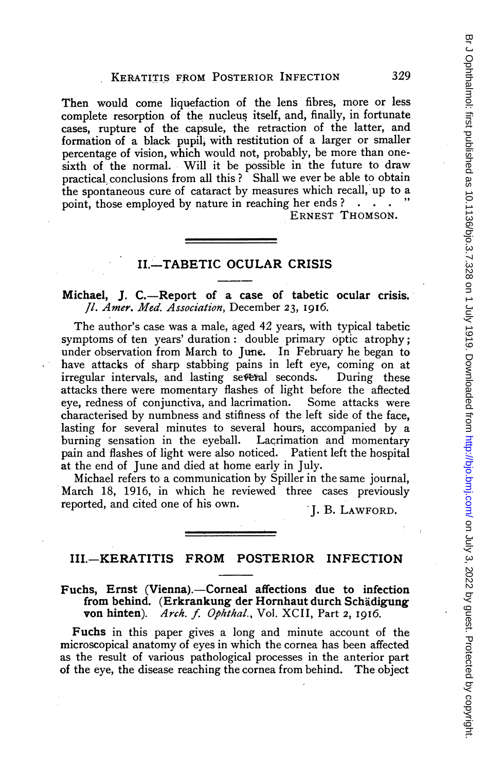Then would come liquefaction of the lens fibres, more or less complete resorption of the nucleus itself, and, finally, in fortunate cases, rupture of the capsule, the retraction of the latter, and formation of a black pupil, with restitution of a larger or smaller percentage of vision, which would not, probably, be more than onesixth of the normal. Will it be possible in the future to draw practical conclusions from all this? Shall we ever be able to obtain the spontaneous cure of cataract by measures which recall, up to a point, those employed by nature in reaching her ends?

ERNEST THOMSON.

# II.-TABETIC OCULAR CRISIS

#### Michael, J. C.—Report of a case of tabetic ocular crisis. /1. Amer. Med. Association, December 23, I9I6.

The author's case was a male, aged 42 years, with typical tabetic symptoms of ten years' duration: double primary optic atrophy; under observation from March to June. In February he began to have attacks of sharp stabbing pains in left eye, coming on at irregular intervals, and lasting several seconds. During these attacks there were momentary flashes of light before the aftected eye, redness of conjunctiva, and lacrimation. characterised by numbness and stifiness of the left side of the face, lasting for several minutes to several hours, accompanied by a burning sensation in the eyeball. Lacrimation and momentary pain and flashes of light were also noticed. Patient left the hospital at the end of June and died at home early in July.

Michael refers to a communication by Spiller in the same journal, March 18, 1916, in which he reviewed three cases previously reported, and cited one of his own. J. B. LAWFORD.

### III.-KERATITIS FROM POSTERIOR INFECTION

#### Fuchs, Ernst (Vienna).--Corneal affections due to infection from behind. (Erkrankung der Hornhaut durch Schadigung von hinten). Arch. f. Ophthal., Vol. XCII, Part 2, 1916.

Fuchs in this paper gives a long and minute account of the microscopical anatomy of eyes in which the cornea has been affected as the result of various pathological processes in the anterior part of the eye, the disease reaching the cornea from behind. The object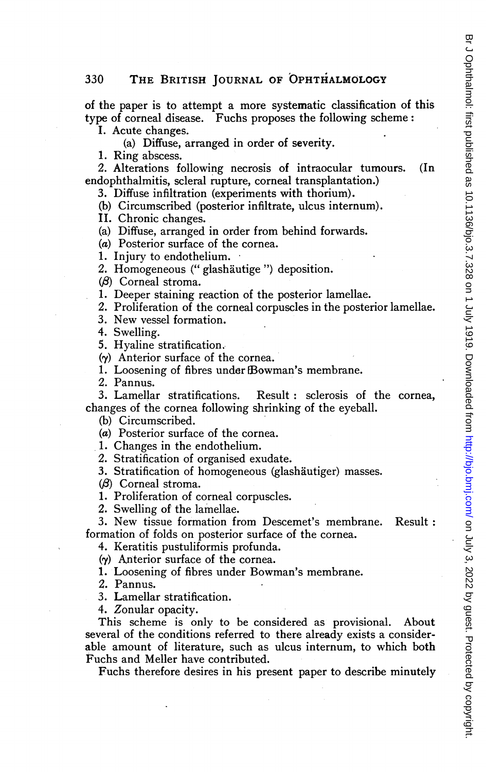#### 330 THE BRITISH JOURNAL OF OPHTHALMOLOGY

of the paper is to attempt a more systematic classification of this type of corneal disease. Fuchs proposes the following scheme:

I. Acute changes.

(a) Diffuse, arranged in order of severity.

1. Ring abscess.

2. Alterations following necrosis of intraocular tumours. (In endophthalmitis, scleral rupture, corneal transplantation.)

3. Diffuse infiltration (experiments with thorium).

- (b) Circumscribed (posterior infiltrate, ulcus internum).
- II. Chronic changes.

(a) Diffuse, arranged in order from behind forwards.

(a) Posterior surface of the cornea.

1. Injury to endothelium.

2. Homogeneous (" glashaiutige ") deposition.

 $(\beta)$  Corneal stroma.

1. Deeper staining reaction of the posterior lamellae.

2. Proliferation of the corneal corpuscles in the posterior lamellae.

3. New vessel formation.

4. Swelling.

5. Hyaline stratification..

 $(y)$  Anterior surface of the cornea.

1. Loosening of fibres under Bowman's membrane.

2. Pannus.

3. Lamellar stratifications. Result: sclerosis of the cornea, changes of the cornea following shrinking of the eyeball.

(b) Circumscribed.

(a) Posterior surface of the cornea.

1. Changes in the endothelium.

2. Stratification of organised exudate.

3. Stratification of homogeneous (glashäutiger) masses.

 $(\beta)$  Corneal stroma.

1. Proliferation of corneal corpuscles.

2. Swelling of the lamellae.

3. New tissue formation from Descemet's membrane. Result: formation of folds on posterior surface of the cornea.

4. Keratitis pustuliformis profunda.

(y) Anterior surface of the cornea.

1. Loosening of fibres under Bowman's membrane.

2. Pannus.

3. Lamellar stratification.

4. Zonular opacity.

This scheme is only to be considered as provisional. About several of the conditions referred to there already exists a considerable amount of literature, such as ulcus internum, to which both Fuchs and Meller have contributed.

Fuchs therefore desires in his present paper to describe minutely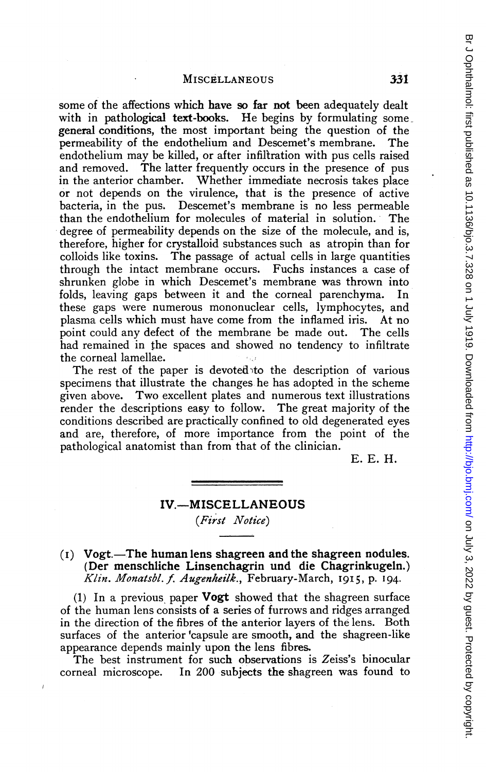#### MISCELLANEOUS 331

some of the affections which have so far not been adequately dealt with in pathological text-books. He begins by formulating some general conditions, the most important being the question of the permeability of the endothelium and Descemet's membrane. The endothelium may be killed, or after infiltration with pus cells raised and removed. The latter frequently occurs in the presence of pus in the anterior chamber. Whether immediate necrosis takes place or not depends on the virulence, that is the presence of active bacteria, in the pus. Descemet's membrane is no less permeable than the endothelium for molecules of material in solution. The degree of permeability depends on the size of the molecule, and is, therefore, higher for crystalloid substances such as atropin than for colloids like toxins. The passage of actual cells in large quantities through the intact membrane occurs. Fuchs instances a case of shrunken globe in which Descemet's membrane was thrown into folds, leaving gaps between it and the corneal parenchyma. In these gaps were numerous mononuclear cells, lymphocytes, and plasma cells which must have come from the inflamed iris. At no point could any defect of the membrane be made out. The cells had remained in the spaces and showed no tendency to infiltrate the corneal lamellae.

The rest of the paper is devoted to the description of various specimens that illustrate the changes he has adopted in the scheme given above. Two excellent plates and numerous text illustrations render the descriptions easy to follow. The great majority of the conditions described are practically confined to old degenerated eyes and are, therefore, of more importance from the point of the pathological anatomist than from that of the clinician.

E. E. H.

# IV.-MISCELLANEOUS (First Notice)

 $(i)$  Vogt.—The human lens shagreen and the shagreen nodules. (Der menschliche Linsenchagrin und die Chagrinkugeln.) Klin. Monatsbl. f. Augenheilk., February-March, 1915, p. 194.

(1) In a previous paper **Vogt** showed that the shagreen surface of the human lens consists of a series of furrows and ridges arranged in the direction of the fibres of the anterior layers of the lens. Both surfaces of the anterior 'capsule are smooth, and the shagreen-like appearance depends mainly upon the lens fibres.

The best instrument for such observations is Zeiss's binocular corneal microscope. In 200 subjects the shagreen was found to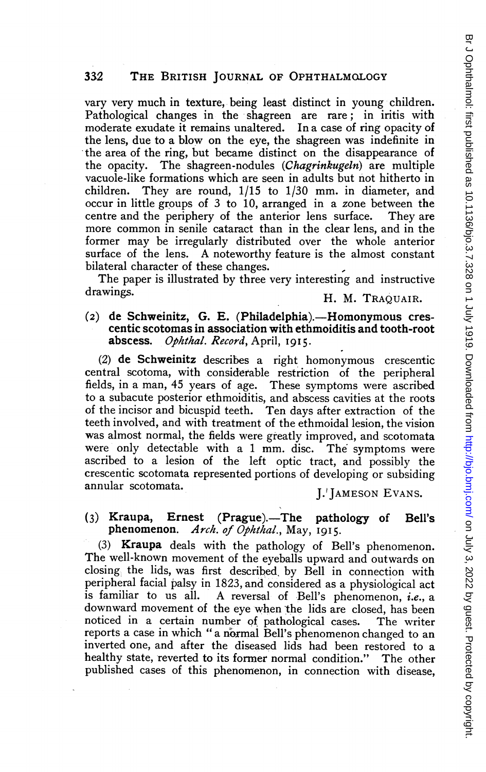vary very much in texture, being least distinct in young children. Pathological changes in the shagreen are rare; in iritis with moderate exudate it remains unaltered. In a case of ring opacity of the lens, due to a blow on the eye, the shagreen was indefinite in 'the area of the ring, but became distinct on the disappearance of the opacity. The shagreen-nodules (Chagrinkugeln) are multiple vacuole-like formations which are seen in adults but not hitherto in children. They are round, 1/15 to 1/30 mm. in diameter, and occur in little groups of 3 to 10, arranged in a zone between the centre and the periphery of the anterior lens surface. They are more common in senile cataract than in the clear lens, and in the former may be irregularly distributed over the whole anterior surface of the lens. A noteworthy feature is the almost constant bilateral character of these changes.

The paper is illustrated by three very interesting and instructive drawings. The contract of the H. M. TRAQUAIR.

# (2) de Schweinitz, G. E. (Philadelphia).-Homonymous crescentic scotomas in association with ethmoiditis and tooth-root<br>abscess. Ophthal. Record, April, 1915. Ophthal. Record, April, 1915.

(2) de Schweinitz describes a right homonymous crescentic central scotoma, with considerable restriction of the peripheral fields, in a man, 45 years of age. These symptoms were ascribed to a subacute posterior ethmoiditis, and abscess cavities at the roots of the incisor and bicuspid teeth. Ten days after extraction of the teeth involved, and with treatment of the ethmoidal lesion, the vision was almost normal, the fields were greatly improved, and scotomata were only detectable with a <sup>1</sup> mm. disc. The symptoms were ascribed to a lesion of the left optic tract, and possibly the crescentic scotomata represented portions of developing or subsiding<br>annular scotomata.

#### **I.'IAMESON EVANS.**

#### (3) Kraupa, Ernest (Prague).—The pathology of Bell's phenomenon.  $Arch. of Obhthal.$  May 1015. Arch. of Ophthal., May,  $I915$ .

(3) Kraupa deals with the pathology of Bell's phenomenon. The well-known movement of the eyeballs upward and outwards on closing, the lids, was first described, by Bell in connection with peripheral facial palsy in 1823, and considered as a physiological act<br>is familiar to us all. A reversal of Bell's phenomenon, *i.e.*, a A reversal of Bell's phenomenon, i.e., a downward movement of the eye when the lids are closed, has been noticed in a certain number of pathological cases. The writer reports a case in which "a normal Bell's phenomenon changed to an inverted one, and after the diseased lids had been restored to a healthy state, reverted to its fomer normal condition." The other published cases of this phenomenon, in connection with disease, br Jon July 1922 by 1919 by Guest Protected by copyrights in 1919. Downloaded from Br July 1919. Downloaded as 10.1136/bjo.bmj.com/ on July 1919. Dom/ Br July 1919. Dom/ Br July 1919. Downloaded and the chect protected by